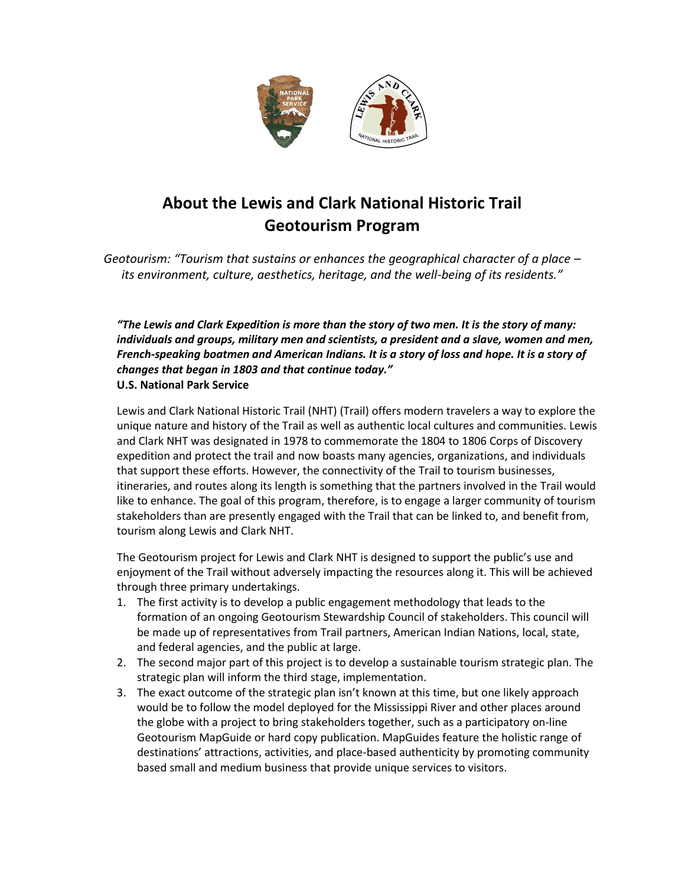

## **About the Lewis and Clark National Historic Trail Geotourism Program**

*Geotourism: "Tourism that sustains or enhances the geographical character of a place – its environment, culture, aesthetics, heritage, and the well-being of its residents."*

*"The Lewis and Clark Expedition is more than the story of two men. It is the story of many: individuals and groups, military men and scientists, a president and a slave, women and men, French-speaking boatmen and American Indians. It is a story of loss and hope. It is a story of changes that began in 1803 and that continue today."*  **U.S. National Park Service**

Lewis and Clark National Historic Trail (NHT) (Trail) offers modern travelers a way to explore the unique nature and history of the Trail as well as authentic local cultures and communities. Lewis and Clark NHT was designated in 1978 to commemorate the 1804 to 1806 Corps of Discovery expedition and protect the trail and now boasts many agencies, organizations, and individuals that support these efforts. However, the connectivity of the Trail to tourism businesses, itineraries, and routes along its length is something that the partners involved in the Trail would like to enhance. The goal of this program, therefore, is to engage a larger community of tourism stakeholders than are presently engaged with the Trail that can be linked to, and benefit from, tourism along Lewis and Clark NHT.

The Geotourism project for Lewis and Clark NHT is designed to support the public's use and enjoyment of the Trail without adversely impacting the resources along it. This will be achieved through three primary undertakings.

- 1. The first activity is to develop a public engagement methodology that leads to the formation of an ongoing Geotourism Stewardship Council of stakeholders. This council will be made up of representatives from Trail partners, American Indian Nations, local, state, and federal agencies, and the public at large.
- 2. The second major part of this project is to develop a sustainable tourism strategic plan. The strategic plan will inform the third stage, implementation.
- 3. The exact outcome of the strategic plan isn't known at this time, but one likely approach would be to follow the model deployed for the Mississippi River and other places around the globe with a project to bring stakeholders together, such as a participatory on-line Geotourism MapGuide or hard copy publication. MapGuides feature the holistic range of destinations' attractions, activities, and place-based authenticity by promoting community based small and medium business that provide unique services to visitors.